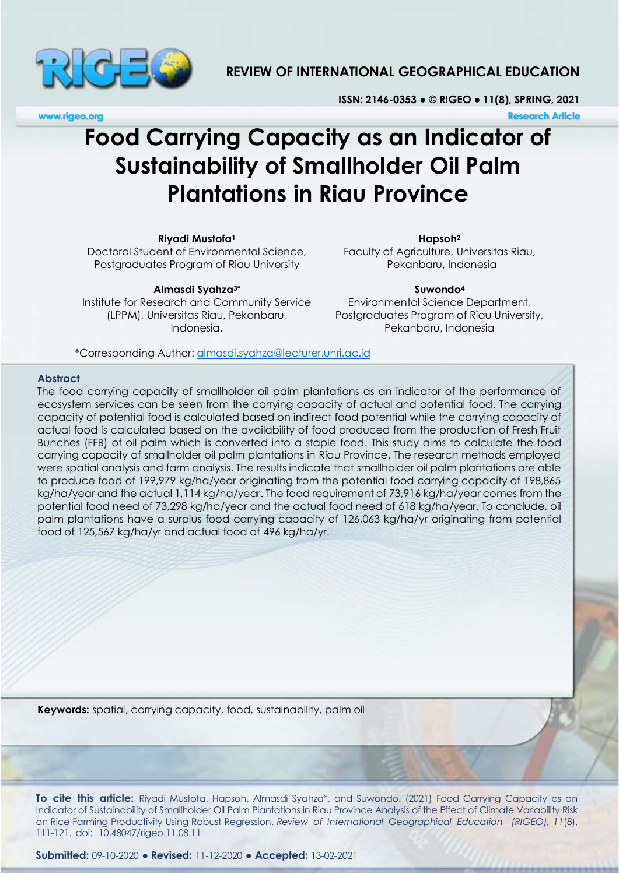

## **REVIEW OF INTERNATIONAL GEOGRAPHICAL EDUCATION**

**ISSN: 2146-0353 ● © RIGEO ● 11(8), SPRING, 2021**

**www.rigeo.org Research Article** 

# **Food Carrying Capacity as an Indicator of Sustainability of Smallholder Oil Palm Plantations in Riau Province**

**Riyadi Mustofa<sup>1</sup>** Doctoral Student of Environmental Science, Postgraduates Program of Riau University

**Almasdi Syahza3\***

Institute for Research and Community Service (LPPM), Universitas Riau, Pekanbaru, Indonesia.

**Hapsoh<sup>2</sup>** Faculty of Agriculture, Universitas Riau, Pekanbaru, Indonesia

**Suwondo<sup>4</sup>** Environmental Science Department, Postgraduates Program of Riau University, Pekanbaru, Indonesia

\*Corresponding Author: [almasdi.syahza@lecturer.unri.ac.id](mailto:almasdi.syahza@lecturer.unri.ac.id) 

#### **Abstract**

The food carrying capacity of smallholder oil palm plantations as an indicator of the performance of ecosystem services can be seen from the carrying capacity of actual and potential food. The carrying capacity of potential food is calculated based on indirect food potential while the carrying capacity of actual food is calculated based on the availability of food produced from the production of Fresh Fruit Bunches (FFB) of oil palm which is converted into a staple food. This study aims to calculate the food carrying capacity of smallholder oil palm plantations in Riau Province. The research methods employed were spatial analysis and farm analysis. The results indicate that smallholder oil palm plantations are able to produce food of 199,979 kg/ha/year originating from the potential food carrying capacity of 198,865 kg/ha/year and the actual 1,114 kg/ha/year. The food requirement of 73,916 kg/ha/year comes from the potential food need of 73,298 kg/ha/year and the actual food need of 618 kg/ha/year. To conclude, oil palm plantations have a surplus food carrying capacity of 126,063 kg/ha/yr originating from potential food of 125,567 kg/ha/yr and actual food of 496 kg/ha/yr.

**Keywords:** spatial, carrying capacity, food, sustainability, palm oil

**To cite this article:** Riyadi Mustofa, Hapsoh, Almasdi Syahza\*, and Suwondo. (2021) Food Carrying Capacity as an Indicator of Sustainability of Smallholder Oil Palm Plantations in Riau Province Analysis of the Effect of Climate Variability Risk on Rice Farming Productivity Using Robust Regression. *Review of International Geographical Education (RIGEO), 11*(8), 111-121. doi: 10.48047/rigeo.11.08.11

**Submitted:** 09-10-2020 **● Revised:** 11-12-2020 **● Accepted:** 13-02-2021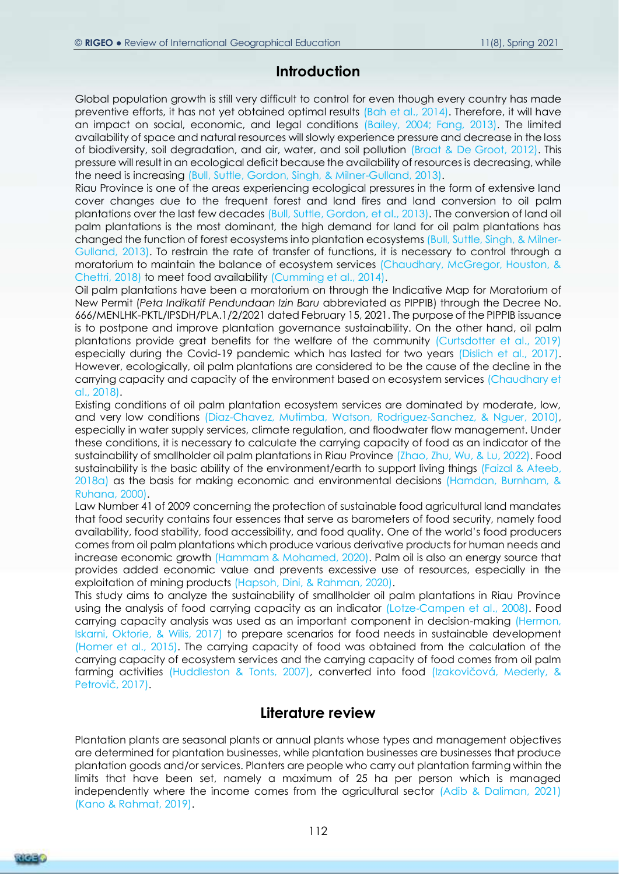## **Introduction**

Global population growth is still very difficult to control for even though every country has made preventive efforts, it has not yet obtained optimal results (Bah et al., 2014). Therefore, it will have an impact on social, economic, and legal conditions (Bailey, 2004; Fang, 2013). The limited availability of space and natural resources will slowly experience pressure and decrease in the loss of biodiversity, soil degradation, and air, water, and soil pollution (Braat & De Groot, 2012). This pressure will result in an ecological deficit because the availability of resources is decreasing, while the need is increasing (Bull, Suttle, Gordon, Singh, & Milner-Gulland, 2013).

Riau Province is one of the areas experiencing ecological pressures in the form of extensive land cover changes due to the frequent forest and land fires and land conversion to oil palm plantations over the last few decades (Bull, Suttle, Gordon, et al., 2013). The conversion of land oil palm plantations is the most dominant, the high demand for land for oil palm plantations has changed the function of forest ecosystems into plantation ecosystems (Bull, Suttle, Singh, & Milner-Gulland, 2013). To restrain the rate of transfer of functions, it is necessary to control through a moratorium to maintain the balance of ecosystem services (Chaudhary, McGregor, Houston, & Chettri, 2018) to meet food availability (Cumming et al., 2014).

Oil palm plantations have been a moratorium on through the Indicative Map for Moratorium of New Permit (*Peta Indikatif Pendundaan Izin Baru* abbreviated as PIPPIB) through the Decree No. 666/MENLHK-PKTL/IPSDH/PLA.1/2/2021 dated February 15, 2021. The purpose of the PIPPIB issuance is to postpone and improve plantation governance sustainability. On the other hand, oil palm plantations provide great benefits for the welfare of the community (Curtsdotter et al., 2019) especially during the Covid-19 pandemic which has lasted for two years (Dislich et al., 2017). However, ecologically, oil palm plantations are considered to be the cause of the decline in the carrying capacity and capacity of the environment based on ecosystem services (Chaudhary et al., 2018).

Existing conditions of oil palm plantation ecosystem services are dominated by moderate, low, and very low conditions (Diaz-Chavez, Mutimba, Watson, Rodriguez-Sanchez, & Nguer, 2010), especially in water supply services, climate regulation, and floodwater flow management. Under these conditions, it is necessary to calculate the carrying capacity of food as an indicator of the sustainability of smallholder oil palm plantations in Riau Province (Zhao, Zhu, Wu, & Lu, 2022). Food sustainability is the basic ability of the environment/earth to support living things (Faizal & Ateeb, 2018a) as the basis for making economic and environmental decisions (Hamdan, Burnham, & Ruhana, 2000).

Law Number 41 of 2009 concerning the protection of sustainable food agricultural land mandates that food security contains four essences that serve as barometers of food security, namely food availability, food stability, food accessibility, and food quality. One of the world's food producers comes from oil palm plantations which produce various derivative products for human needs and increase economic growth (Hammam & Mohamed, 2020). Palm oil is also an energy source that provides added economic value and prevents excessive use of resources, especially in the exploitation of mining products (Hapsoh, Dini, & Rahman, 2020).

This study aims to analyze the sustainability of smallholder oil palm plantations in Riau Province using the analysis of food carrying capacity as an indicator (Lotze‐Campen et al., 2008). Food carrying capacity analysis was used as an important component in decision-making (Hermon, Iskarni, Oktorie, & Wilis, 2017) to prepare scenarios for food needs in sustainable development (Homer et al., 2015). The carrying capacity of food was obtained from the calculation of the carrying capacity of ecosystem services and the carrying capacity of food comes from oil palm farming activities (Huddleston & Tonts, 2007), converted into food (Izakovičová, Mederly, & Petrovič, 2017).

## **Literature review**

Plantation plants are seasonal plants or annual plants whose types and management objectives are determined for plantation businesses, while plantation businesses are businesses that produce plantation goods and/or services. Planters are people who carry out plantation farming within the limits that have been set, namely a maximum of 25 ha per person which is managed independently where the income comes from the agricultural sector (Adib & Daliman, 2021) (Kano & Rahmat, 2019).

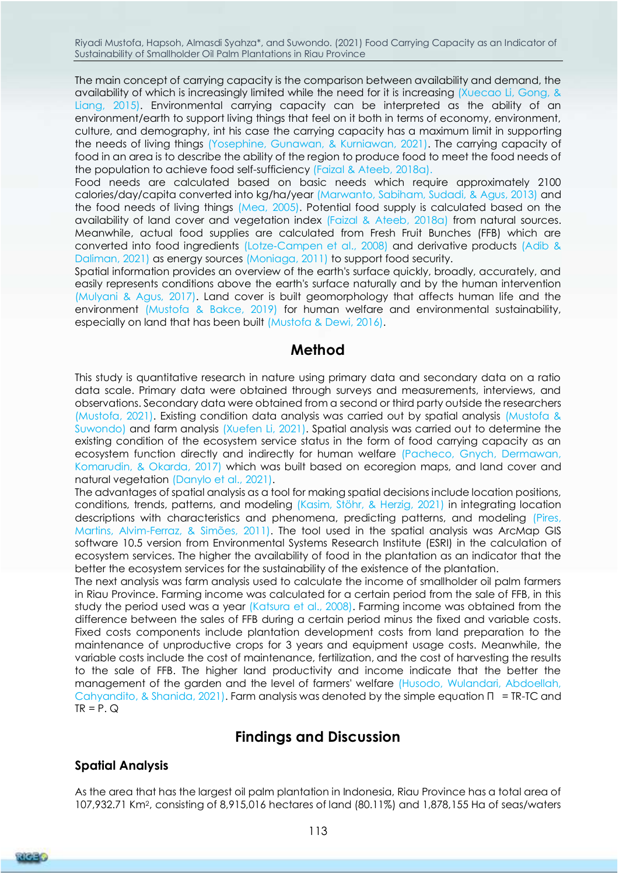Riyadi Mustofa, Hapsoh, Almasdi Syahza\*, and Suwondo. (2021) Food Carrying Capacity as an Indicator of Sustainability of Smallholder Oil Palm Plantations in Riau Province

The main concept of carrying capacity is the comparison between availability and demand, the availability of which is increasingly limited while the need for it is increasing (Xuecao Li, Gong, & Liang, 2015). Environmental carrying capacity can be interpreted as the ability of an environment/earth to support living things that feel on it both in terms of economy, environment, culture, and demography, int his case the carrying capacity has a maximum limit in supporting the needs of living things (Yosephine, Gunawan, & Kurniawan, 2021). The carrying capacity of food in an area is to describe the ability of the region to produce food to meet the food needs of the population to achieve food self-sufficiency (Faizal & Ateeb, 2018a).

Food needs are calculated based on basic needs which require approximately 2100 calories/day/capita converted into kg/ha/year (Marwanto, Sabiham, Sudadi, & Agus, 2013) and the food needs of living things (Mea, 2005). Potential food supply is calculated based on the availability of land cover and vegetation index (Faizal & Ateeb, 2018a) from natural sources. Meanwhile, actual food supplies are calculated from Fresh Fruit Bunches (FFB) which are converted into food ingredients (Lotze‐Campen et al., 2008) and derivative products (Adib & Daliman, 2021) as energy sources (Moniaga, 2011) to support food security.

Spatial information provides an overview of the earth's surface quickly, broadly, accurately, and easily represents conditions above the earth's surface naturally and by the human intervention (Mulyani & Agus, 2017). Land cover is built geomorphology that affects human life and the environment (Mustofa & Bakce, 2019) for human welfare and environmental sustainability, especially on land that has been built (Mustofa & Dewi, 2016).

## **Method**

This study is quantitative research in nature using primary data and secondary data on a ratio data scale. Primary data were obtained through surveys and measurements, interviews, and observations. Secondary data were obtained from a second or third party outside the researchers (Mustofa, 2021). Existing condition data analysis was carried out by spatial analysis (Mustofa & Suwondo) and farm analysis (Xuefen Li, 2021). Spatial analysis was carried out to determine the existing condition of the ecosystem service status in the form of food carrying capacity as an ecosystem function directly and indirectly for human welfare (Pacheco, Gnych, Dermawan, Komarudin, & Okarda, 2017) which was built based on ecoregion maps, and land cover and natural vegetation (Danylo et al., 2021).

The advantages of spatial analysis as a tool for making spatial decisions include location positions, conditions, trends, patterns, and modeling (Kasim, Stöhr, & Herzig, 2021) in integrating location descriptions with characteristics and phenomena, predicting patterns, and modeling (Pires, Martins, Alvim-Ferraz, & Simões, 2011). The tool used in the spatial analysis was ArcMap GIS software 10.5 version from Environmental Systems Research Institute (ESRI) in the calculation of ecosystem services. The higher the availability of food in the plantation as an indicator that the better the ecosystem services for the sustainability of the existence of the plantation.

The next analysis was farm analysis used to calculate the income of smallholder oil palm farmers in Riau Province. Farming income was calculated for a certain period from the sale of FFB, in this study the period used was a year (Katsura et al., 2008). Farming income was obtained from the difference between the sales of FFB during a certain period minus the fixed and variable costs. Fixed costs components include plantation development costs from land preparation to the maintenance of unproductive crops for 3 years and equipment usage costs. Meanwhile, the variable costs include the cost of maintenance, fertilization, and the cost of harvesting the results to the sale of FFB. The higher land productivity and income indicate that the better the management of the garden and the level of farmers' welfare (Husodo, Wulandari, Abdoellah, Cahyandito, & Shanida, 2021). Farm analysis was denoted by the simple equation Π = TR-TC and  $TR = P. Q$ 

# **Findings and Discussion**

## **Spatial Analysis**

As the area that has the largest oil palm plantation in Indonesia, Riau Province has a total area of 107,932.71 Km2, consisting of 8,915,016 hectares of land (80.11%) and 1,878,155 Ha of seas/waters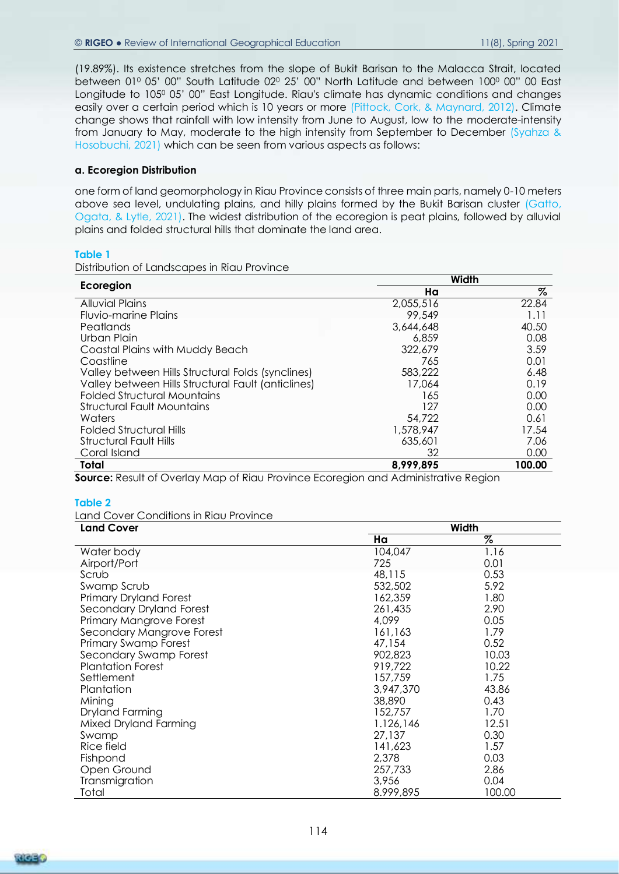(19.89%). Its existence stretches from the slope of Bukit Barisan to the Malacca Strait, located between 01<sup>0</sup> 05' 00" South Latitude 02<sup>0</sup> 25' 00" North Latitude and between 100<sup>0</sup> 00" 00 East Longitude to 105º 05' 00" East Longitude. Riau's climate has dynamic conditions and changes easily over a certain period which is 10 years or more (Pittock, Cork, & Maynard, 2012). Climate change shows that rainfall with low intensity from June to August, low to the moderate-intensity from January to May, moderate to the high intensity from September to December (Syahza & Hosobuchi, 2021) which can be seen from various aspects as follows:

#### **a. Ecoregion Distribution**

one form of land geomorphology in Riau Province consists of three main parts, namely 0-10 meters above sea level, undulating plains, and hilly plains formed by the Bukit Barisan cluster (Gatto, Ogata, & Lytle, 2021). The widest distribution of the ecoregion is peat plains, followed by alluvial plains and folded structural hills that dominate the land area.

#### **Table 1**

Distribution of Landscapes in Riau Province

| Ecoregion                                          | Width     |        |  |
|----------------------------------------------------|-----------|--------|--|
|                                                    | Ha        | %      |  |
| <b>Alluvial Plains</b>                             | 2,055,516 | 22.84  |  |
| Fluvio-marine Plains                               | 99,549    | 1.11   |  |
| Peatlands                                          | 3,644,648 | 40.50  |  |
| Urban Plain                                        | 6,859     | 0.08   |  |
| Coastal Plains with Muddy Beach                    | 322,679   | 3.59   |  |
| Coastline                                          | 765       | 0.01   |  |
| Valley between Hills Structural Folds (synclines)  | 583,222   | 6.48   |  |
| Valley between Hills Structural Fault (anticlines) | 17,064    | 0.19   |  |
| <b>Folded Structural Mountains</b>                 | 165       | 0.00   |  |
| <b>Structural Fault Mountains</b>                  | 127       | 0.00   |  |
| Waters                                             | 54.722    | 0.61   |  |
| <b>Folded Structural Hills</b>                     | 1,578,947 | 17.54  |  |
| Structural Fault Hills                             | 635,601   | 7.06   |  |
| Coral Island                                       | 32        | 0.00   |  |
| Total                                              | 8,999,895 | 100.00 |  |

**Source:** Result of Overlay Map of Riau Province Ecoregion and Administrative Region

#### **Table 2**

Land Cover Conditions in Riau Province

| <b>Land Cover</b>             | Width     |        |  |
|-------------------------------|-----------|--------|--|
|                               | Ha        | %      |  |
| Water body                    | 104,047   | 1.16   |  |
| Airport/Port                  | 725       | 0.01   |  |
| Scrub                         | 48,115    | 0.53   |  |
| Swamp Scrub                   | 532,502   | 5.92   |  |
| <b>Primary Dryland Forest</b> | 162,359   | 1.80   |  |
| Secondary Dryland Forest      | 261,435   | 2.90   |  |
| Primary Mangrove Forest       | 4,099     | 0.05   |  |
| Secondary Mangrove Forest     | 161,163   | 1.79   |  |
| <b>Primary Swamp Forest</b>   | 47,154    | 0.52   |  |
| Secondary Swamp Forest        | 902,823   | 10.03  |  |
| <b>Plantation Forest</b>      | 919,722   | 10.22  |  |
| Settlement                    | 157,759   | 1.75   |  |
| Plantation                    | 3,947,370 | 43.86  |  |
| Mining                        | 38,890    | 0.43   |  |
| Dryland Farming               | 152,757   | 1.70   |  |
| Mixed Dryland Farming         | 1.126,146 | 12.51  |  |
| Swamp                         | 27,137    | 0.30   |  |
| Rice field                    | 141,623   | 1.57   |  |
| Fishpond                      | 2,378     | 0.03   |  |
| Open Ground                   | 257,733   | 2.86   |  |
| Transmigration                | 3,956     | 0.04   |  |
| Total                         | 8.999,895 | 100.00 |  |

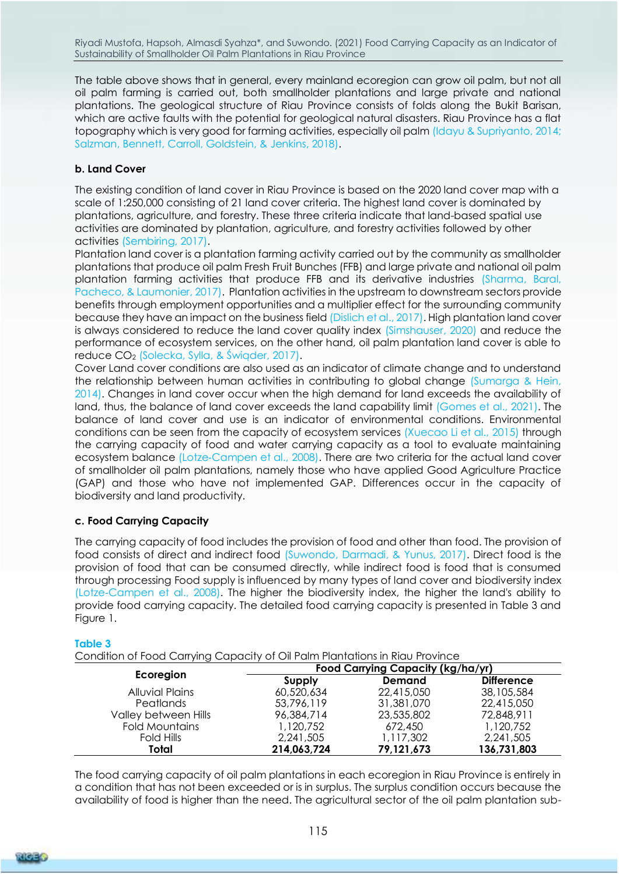Riyadi Mustofa, Hapsoh, Almasdi Syahza\*, and Suwondo. (2021) Food Carrying Capacity as an Indicator of Sustainability of Smallholder Oil Palm Plantations in Riau Province

The table above shows that in general, every mainland ecoregion can grow oil palm, but not all oil palm farming is carried out, both smallholder plantations and large private and national plantations. The geological structure of Riau Province consists of folds along the Bukit Barisan, which are active faults with the potential for geological natural disasters. Riau Province has a flat topography which is very good for farming activities, especially oil palm (Idayu & Supriyanto, 2014; Salzman, Bennett, Carroll, Goldstein, & Jenkins, 2018).

#### **b. Land Cover**

The existing condition of land cover in Riau Province is based on the 2020 land cover map with a scale of 1:250,000 consisting of 21 land cover criteria. The highest land cover is dominated by plantations, agriculture, and forestry. These three criteria indicate that land-based spatial use activities are dominated by plantation, agriculture, and forestry activities followed by other activities (Sembiring, 2017).

Plantation land cover is a plantation farming activity carried out by the community as smallholder plantations that produce oil palm Fresh Fruit Bunches (FFB) and large private and national oil palm plantation farming activities that produce FFB and its derivative industries (Sharma, Baral, Pacheco, & Laumonier, 2017). Plantation activities in the upstream to downstream sectors provide benefits through employment opportunities and a multiplier effect for the surrounding community because they have an impact on the business field (Dislich et al., 2017). High plantation land cover is always considered to reduce the land cover quality index (Simshauser, 2020) and reduce the performance of ecosystem services, on the other hand, oil palm plantation land cover is able to reduce CO<sup>2</sup> (Solecka, Sylla, & Świąder, 2017).

Cover Land cover conditions are also used as an indicator of climate change and to understand the relationship between human activities in contributing to global change (Sumarga & Hein, 2014). Changes in land cover occur when the high demand for land exceeds the availability of land, thus, the balance of land cover exceeds the land capability limit (Gomes et al., 2021). The balance of land cover and use is an indicator of environmental conditions. Environmental conditions can be seen from the capacity of ecosystem services (Xuecao Li et al., 2015) through the carrying capacity of food and water carrying capacity as a tool to evaluate maintaining ecosystem balance (Lotze-Campen et al., 2008). There are two criteria for the actual land cover of smallholder oil palm plantations, namely those who have applied Good Agriculture Practice (GAP) and those who have not implemented GAP. Differences occur in the capacity of biodiversity and land productivity.

### **c. Food Carrying Capacity**

The carrying capacity of food includes the provision of food and other than food. The provision of food consists of direct and indirect food (Suwondo, Darmadi, & Yunus, 2017). Direct food is the provision of food that can be consumed directly, while indirect food is food that is consumed through processing Food supply is influenced by many types of land cover and biodiversity index (Lotze‐Campen et al., 2008). The higher the biodiversity index, the higher the land's ability to provide food carrying capacity. The detailed food carrying capacity is presented in Table 3 and Figure 1.

#### **Table 3**

Condition of Food Carrying Capacity of Oil Palm Plantations in Riau Province

| Ecoregion              | Food Carrying Capacity (kg/ha/yr) |            |                   |  |
|------------------------|-----------------------------------|------------|-------------------|--|
|                        | Supply                            | Demand     | <b>Difference</b> |  |
| <b>Alluvial Plains</b> | 60,520,634                        | 22,415,050 | 38,105,584        |  |
| Peatlands              | 53,796,119                        | 31,381,070 | 22,415,050        |  |
| Valley between Hills   | 96,384,714                        | 23,535,802 | 72,848,911        |  |
| Fold Mountains         | 1,120,752                         | 672,450    | 1,120,752         |  |
| Fold Hills             | 2,241,505                         | 1,117,302  | 2,241,505         |  |
| Total                  | 214,063,724                       | 79,121,673 | 136,731,803       |  |

The food carrying capacity of oil palm plantations in each ecoregion in Riau Province is entirely in a condition that has not been exceeded or is in surplus. The surplus condition occurs because the availability of food is higher than the need. The agricultural sector of the oil palm plantation sub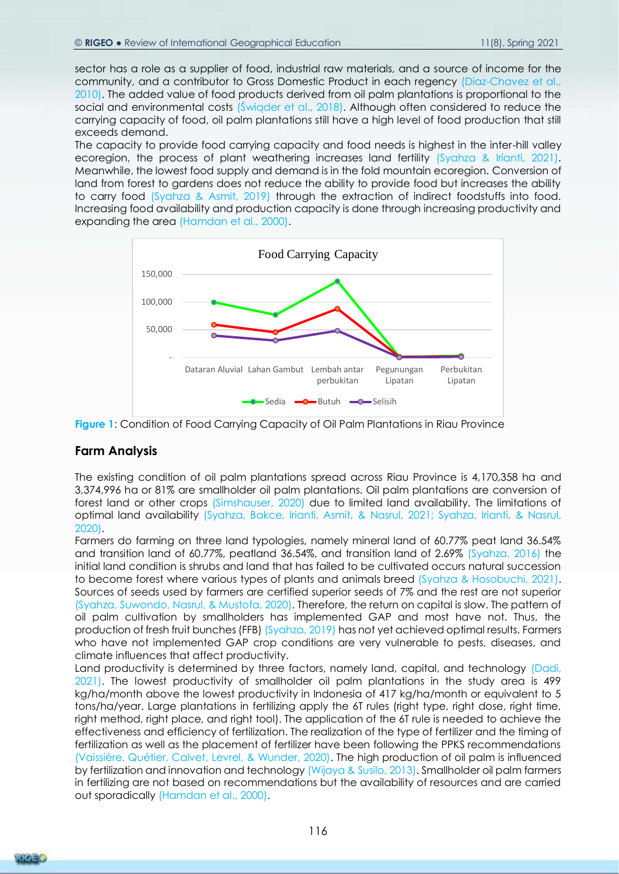sector has a role as a supplier of food, industrial raw materials, and a source of income for the community, and a contributor to Gross Domestic Product in each regency (Diaz-Chavez et al., 2010). The added value of food products derived from oil palm plantations is proportional to the social and environmental costs (Świąder et al., 2018). Although often considered to reduce the carrying capacity of food, oil palm plantations still have a high level of food production that still exceeds demand.

The capacity to provide food carrying capacity and food needs is highest in the inter-hill valley ecoregion, the process of plant weathering increases land fertility (Syahza & Irianti, 2021). Meanwhile, the lowest food supply and demand is in the fold mountain ecoregion. Conversion of land from forest to gardens does not reduce the ability to provide food but increases the ability to carry food (Syahza & Asmit, 2019) through the extraction of indirect foodstuffs into food. Increasing food availability and production capacity is done through increasing productivity and expanding the area (Hamdan et al., 2000).



**Figure 1**: Condition of Food Carrying Capacity of Oil Palm Plantations in Riau Province

#### **Farm Analysis**

The existing condition of oil palm plantations spread across Riau Province is 4,170,358 ha and 3,374,996 ha or 81% are smallholder oil palm plantations. Oil palm plantations are conversion of forest land or other crops (Simshauser, 2020) due to limited land availability. The limitations of optimal land availability (Syahza, Bakce, Irianti, Asmit, & Nasrul, 2021; Syahza, Irianti, & Nasrul, 2020).

Farmers do farming on three land typologies, namely mineral land of 60.77% peat land 36.54% and transition land of 60.77%, peatland 36.54%, and transition land of 2.69% (Syahza, 2016) the initial land condition is shrubs and land that has failed to be cultivated occurs natural succession to become forest where various types of plants and animals breed (Syahza & Hosobuchi, 2021). Sources of seeds used by farmers are certified superior seeds of 7% and the rest are not superior (Syahza, Suwondo, Nasrul, & Mustofa, 2020). Therefore, the return on capital is slow. The pattern of oil palm cultivation by smallholders has implemented GAP and most have not. Thus, the production of fresh fruit bunches (FFB) (Syahza, 2019) has not yet achieved optimal results. Farmers who have not implemented GAP crop conditions are very vulnerable to pests, diseases, and climate influences that affect productivity.

Land productivity is determined by three factors, namely land, capital, and technology (Dadi, 2021). The lowest productivity of smallholder oil palm plantations in the study area is 499 kg/ha/month above the lowest productivity in Indonesia of 417 kg/ha/month or equivalent to 5 tons/ha/year. Large plantations in fertilizing apply the 6T rules (right type, right dose, right time, right method, right place, and right tool). The application of the 6T rule is needed to achieve the effectiveness and efficiency of fertilization. The realization of the type of fertilizer and the timing of fertilization as well as the placement of fertilizer have been following the PPKS recommendations (Vaissière, Quétier, Calvet, Levrel, & Wunder, 2020). The high production of oil palm is influenced by fertilization and innovation and technology (Wijaya & Susilo, 2013). Smallholder oil palm farmers in fertilizing are not based on recommendations but the availability of resources and are carried out sporadically (Hamdan et al., 2000).

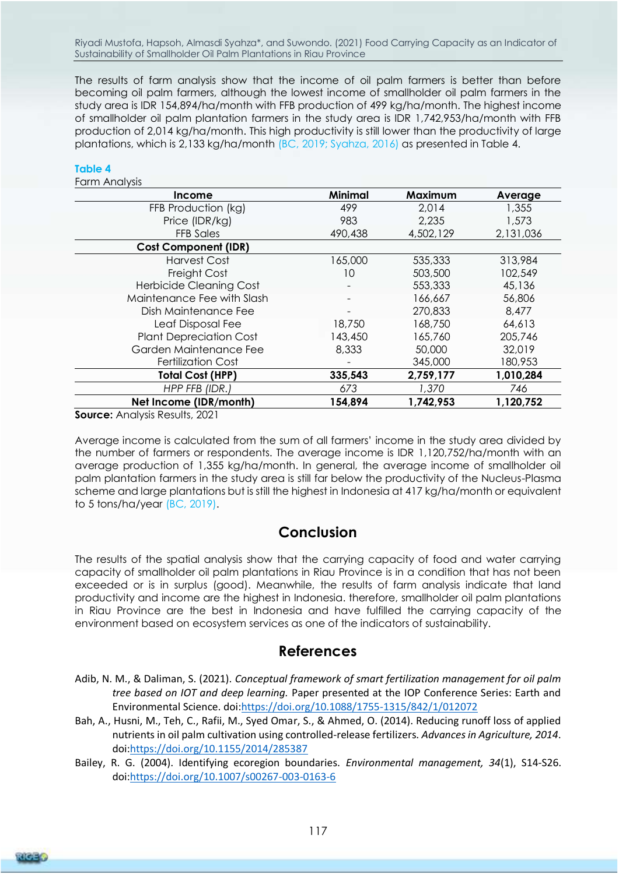Riyadi Mustofa, Hapsoh, Almasdi Syahza\*, and Suwondo. (2021) Food Carrying Capacity as an Indicator of Sustainability of Smallholder Oil Palm Plantations in Riau Province

The results of farm analysis show that the income of oil palm farmers is better than before becoming oil palm farmers, although the lowest income of smallholder oil palm farmers in the study area is IDR 154,894/ha/month with FFB production of 499 kg/ha/month. The highest income of smallholder oil palm plantation farmers in the study area is IDR 1,742,953/ha/month with FFB production of 2,014 kg/ha/month. This high productivity is still lower than the productivity of large plantations, which is 2,133 kg/ha/month (BC, 2019; Syahza, 2016) as presented in Table 4.

#### **Table 4**

| Farm Analysis                  |                |           |           |
|--------------------------------|----------------|-----------|-----------|
| Income                         | <b>Minimal</b> | Maximum   | Average   |
| FFB Production (kg)            | 499            | 2,014     | 1,355     |
| Price (IDR/kg)                 | 983            | 2,235     | 1,573     |
| <b>FFB Sales</b>               | 490,438        | 4,502,129 | 2,131,036 |
| <b>Cost Component (IDR)</b>    |                |           |           |
| Harvest Cost                   | 165,000        | 535,333   | 313,984   |
| Freight Cost                   | 10             | 503,500   | 102,549   |
| <b>Herbicide Cleaning Cost</b> |                | 553,333   | 45,136    |
| Maintenance Fee with Slash     |                | 166,667   | 56,806    |
| Dish Maintenance Fee           |                | 270,833   | 8,477     |
| Leaf Disposal Fee              | 18,750         | 168,750   | 64,613    |
| <b>Plant Depreciation Cost</b> | 143,450        | 165,760   | 205,746   |
| Garden Maintenance Fee         | 8,333          | 50,000    | 32,019    |
| <b>Fertilization Cost</b>      |                | 345,000   | 180,953   |
| <b>Total Cost (HPP)</b>        | 335,543        | 2,759,177 | 1,010,284 |
| HPP FFB (IDR.)                 | 673            | 1,370     | 746       |
| Net Income (IDR/month)         | 154,894        | 1,742,953 | 1,120,752 |

**Source:** Analysis Results, 2021

Average income is calculated from the sum of all farmers' income in the study area divided by the number of farmers or respondents. The average income is IDR 1,120,752/ha/month with an average production of 1,355 kg/ha/month. In general, the average income of smallholder oil palm plantation farmers in the study area is still far below the productivity of the Nucleus-Plasma scheme and large plantations but is still the highest in Indonesia at 417 kg/ha/month or equivalent to 5 tons/ha/year (BC, 2019).

# **Conclusion**

The results of the spatial analysis show that the carrying capacity of food and water carrying capacity of smallholder oil palm plantations in Riau Province is in a condition that has not been exceeded or is in surplus (good). Meanwhile, the results of farm analysis indicate that land productivity and income are the highest in Indonesia. therefore, smallholder oil palm plantations in Riau Province are the best in Indonesia and have fulfilled the carrying capacity of the environment based on ecosystem services as one of the indicators of sustainability.

# **References**

- Adib, N. M., & Daliman, S. (2021). *Conceptual framework of smart fertilization management for oil palm tree based on IOT and deep learning.* Paper presented at the IOP Conference Series: Earth and Environmental Science. doi[:https://doi.org/10.1088/1755-1315/842/1/012072](https://doi.org/10.1088/1755-1315/842/1/012072)
- Bah, A., Husni, M., Teh, C., Rafii, M., Syed Omar, S., & Ahmed, O. (2014). Reducing runoff loss of applied nutrients in oil palm cultivation using controlled-release fertilizers. *Advances in Agriculture, 2014*. doi[:https://doi.org/10.1155/2014/285387](https://doi.org/10.1155/2014/285387)
- Bailey, R. G. (2004). Identifying ecoregion boundaries. *Environmental management, 34*(1), S14-S26. doi[:https://doi.org/10.1007/s00267-003-0163-6](https://doi.org/10.1007/s00267-003-0163-6)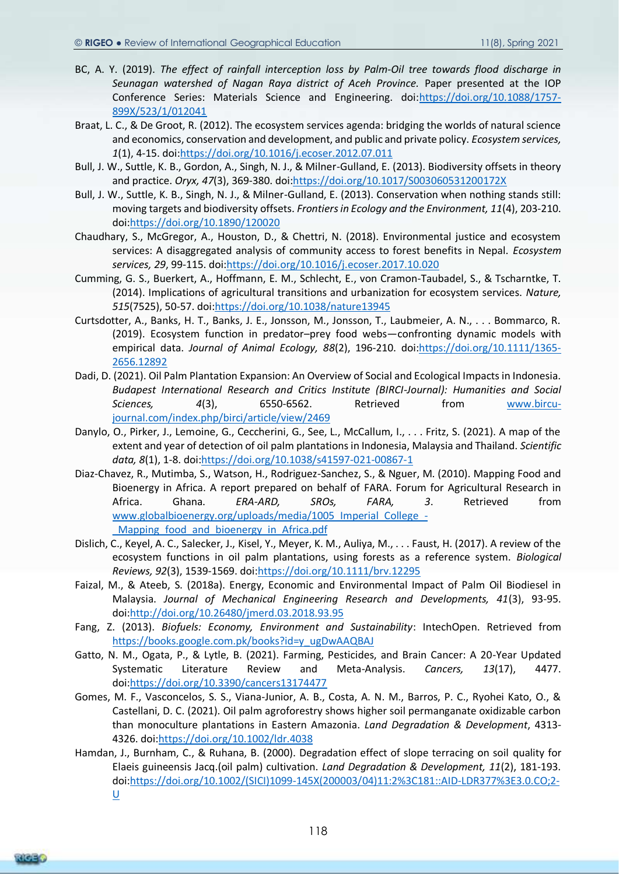- BC, A. Y. (2019). *The effect of rainfall interception loss by Palm-Oil tree towards flood discharge in Seunagan watershed of Nagan Raya district of Aceh Province.* Paper presented at the IOP Conference Series: Materials Science and Engineering. doi[:https://doi.org/10.1088/1757-](https://doi.org/10.1088/1757-899X/523/1/012041) [899X/523/1/012041](https://doi.org/10.1088/1757-899X/523/1/012041)
- Braat, L. C., & De Groot, R. (2012). The ecosystem services agenda: bridging the worlds of natural science and economics, conservation and development, and public and private policy. *Ecosystem services, 1*(1), 4-15. doi[:https://doi.org/10.1016/j.ecoser.2012.07.011](https://doi.org/10.1016/j.ecoser.2012.07.011)
- Bull, J. W., Suttle, K. B., Gordon, A., Singh, N. J., & Milner-Gulland, E. (2013). Biodiversity offsets in theory and practice. *Oryx, 47*(3), 369-380. doi[:https://doi.org/10.1017/S003060531200172X](https://doi.org/10.1017/S003060531200172X)
- Bull, J. W., Suttle, K. B., Singh, N. J., & Milner-Gulland, E. (2013). Conservation when nothing stands still: moving targets and biodiversity offsets. *Frontiers in Ecology and the Environment, 11*(4), 203-210. doi[:https://doi.org/10.1890/120020](https://doi.org/10.1890/120020)
- Chaudhary, S., McGregor, A., Houston, D., & Chettri, N. (2018). Environmental justice and ecosystem services: A disaggregated analysis of community access to forest benefits in Nepal. *Ecosystem services, 29*, 99-115. doi[:https://doi.org/10.1016/j.ecoser.2017.10.020](https://doi.org/10.1016/j.ecoser.2017.10.020)
- Cumming, G. S., Buerkert, A., Hoffmann, E. M., Schlecht, E., von Cramon-Taubadel, S., & Tscharntke, T. (2014). Implications of agricultural transitions and urbanization for ecosystem services. *Nature, 515*(7525), 50-57. doi[:https://doi.org/10.1038/nature13945](https://doi.org/10.1038/nature13945)
- Curtsdotter, A., Banks, H. T., Banks, J. E., Jonsson, M., Jonsson, T., Laubmeier, A. N., . . . Bommarco, R. (2019). Ecosystem function in predator–prey food webs—confronting dynamic models with empirical data. *Journal of Animal Ecology, 88*(2), 196-210. doi[:https://doi.org/10.1111/1365-](https://doi.org/10.1111/1365-2656.12892) [2656.12892](https://doi.org/10.1111/1365-2656.12892)
- Dadi, D. (2021). Oil Palm Plantation Expansion: An Overview of Social and Ecological Impacts in Indonesia. *Budapest International Research and Critics Institute (BIRCI-Journal): Humanities and Social Sciences, 4*(3), 6550-6562. Retrieved from [www.bircu](www.bircu-journal.com/index.php/birci/article/view/2469)[journal.com/index.php/birci/article/view/2469](www.bircu-journal.com/index.php/birci/article/view/2469)
- Danylo, O., Pirker, J., Lemoine, G., Ceccherini, G., See, L., McCallum, I., . . . Fritz, S. (2021). A map of the extent and year of detection of oil palm plantations in Indonesia, Malaysia and Thailand. *Scientific data, 8*(1), 1-8. doi[:https://doi.org/10.1038/s41597-021-00867-1](https://doi.org/10.1038/s41597-021-00867-1)
- Diaz-Chavez, R., Mutimba, S., Watson, H., Rodriguez-Sanchez, S., & Nguer, M. (2010). Mapping Food and Bioenergy in Africa. A report prepared on behalf of FARA. Forum for Agricultural Research in Africa. Ghana. *ERA-ARD, SROs, FARA, 3*. Retrieved from www.globalbioenergy.org/uploads/media/1005 Imperial College -Mapping food and bioenergy in Africa.pdf
- Dislich, C., Keyel, A. C., Salecker, J., Kisel, Y., Meyer, K. M., Auliya, M., . . . Faust, H. (2017). A review of the ecosystem functions in oil palm plantations, using forests as a reference system. *Biological Reviews, 92*(3), 1539-1569. doi[:https://doi.org/10.1111/brv.12295](https://doi.org/10.1111/brv.12295)
- Faizal, M., & Ateeb, S. (2018a). Energy, Economic and Environmental Impact of Palm Oil Biodiesel in Malaysia. *Journal of Mechanical Engineering Research and Developments, 41*(3), 93-95. doi[:http://doi.org/10.26480/jmerd.03.2018.93.95](http://doi.org/10.26480/jmerd.03.2018.93.95)
- Fang, Z. (2013). *Biofuels: Economy, Environment and Sustainability*: IntechOpen. Retrieved from [https://books.google.com.pk/books?id=y\\_ugDwAAQBAJ](https://books.google.com.pk/books?id=y_ugDwAAQBAJ)
- Gatto, N. M., Ogata, P., & Lytle, B. (2021). Farming, Pesticides, and Brain Cancer: A 20-Year Updated Systematic Literature Review and Meta-Analysis. *Cancers, 13*(17), 4477. doi[:https://doi.org/10.3390/cancers13174477](https://doi.org/10.3390/cancers13174477)
- Gomes, M. F., Vasconcelos, S. S., Viana‐Junior, A. B., Costa, A. N. M., Barros, P. C., Ryohei Kato, O., & Castellani, D. C. (2021). Oil palm agroforestry shows higher soil permanganate oxidizable carbon than monoculture plantations in Eastern Amazonia. *Land Degradation & Development*, 4313- 4326. doi[:https://doi.org/10.1002/ldr.4038](https://doi.org/10.1002/ldr.4038)
- Hamdan, J., Burnham, C., & Ruhana, B. (2000). Degradation effect of slope terracing on soil quality for Elaeis guineensis Jacq.(oil palm) cultivation. *Land Degradation & Development, 11*(2), 181-193. doi[:https://doi.org/10.1002/\(SICI\)1099-145X\(200003/04\)11:2%3C181::AID-LDR377%3E3.0.CO;2-](https://doi.org/10.1002/(SICI)1099-145X(200003/04)11:2%3C181::AID-LDR377%3E3.0.CO;2-U)  $\underline{\mathsf{U}}$  $\underline{\mathsf{U}}$  $\underline{\mathsf{U}}$

**RIGE<sup>T</sup>**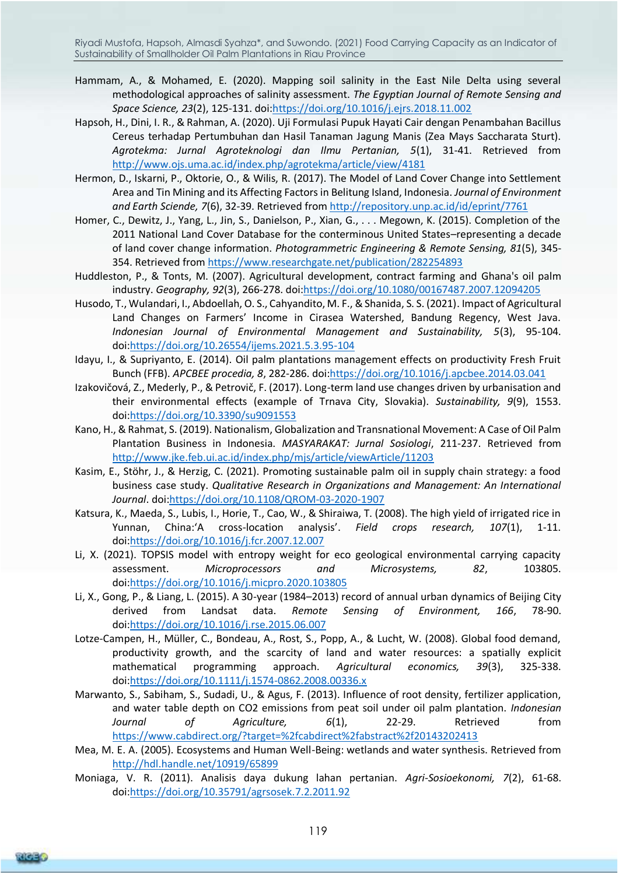- Hammam, A., & Mohamed, E. (2020). Mapping soil salinity in the East Nile Delta using several methodological approaches of salinity assessment. *The Egyptian Journal of Remote Sensing and Space Science, 23*(2), 125-131. doi[:https://doi.org/10.1016/j.ejrs.2018.11.002](https://doi.org/10.1016/j.ejrs.2018.11.002)
- Hapsoh, H., Dini, I. R., & Rahman, A. (2020). Uji Formulasi Pupuk Hayati Cair dengan Penambahan Bacillus Cereus terhadap Pertumbuhan dan Hasil Tanaman Jagung Manis (Zea Mays Saccharata Sturt). *Agrotekma: Jurnal Agroteknologi dan Ilmu Pertanian, 5*(1), 31-41. Retrieved from <http://www.ojs.uma.ac.id/index.php/agrotekma/article/view/4181>
- Hermon, D., Iskarni, P., Oktorie, O., & Wilis, R. (2017). The Model of Land Cover Change into Settlement Area and Tin Mining and its Affecting Factors in Belitung Island, Indonesia. *Journal of Environment and Earth Sciende, 7*(6), 32-39. Retrieved from<http://repository.unp.ac.id/id/eprint/7761>
- Homer, C., Dewitz, J., Yang, L., Jin, S., Danielson, P., Xian, G., . . . Megown, K. (2015). Completion of the 2011 National Land Cover Database for the conterminous United States–representing a decade of land cover change information. *Photogrammetric Engineering & Remote Sensing, 81*(5), 345- 354. Retrieved from<https://www.researchgate.net/publication/282254893>
- Huddleston, P., & Tonts, M. (2007). Agricultural development, contract farming and Ghana's oil palm industry. *Geography, 92*(3), 266-278. doi[:https://doi.org/10.1080/00167487.2007.12094205](https://doi.org/10.1080/00167487.2007.12094205)
- Husodo, T., Wulandari, I., Abdoellah, O. S., Cahyandito, M. F., & Shanida, S. S. (2021). Impact of Agricultural Land Changes on Farmers' Income in Cirasea Watershed, Bandung Regency, West Java. *Indonesian Journal of Environmental Management and Sustainability, 5*(3), 95-104. doi[:https://doi.org/10.26554/ijems.2021.5.3.95-104](https://doi.org/10.26554/ijems.2021.5.3.95-104)
- Idayu, I., & Supriyanto, E. (2014). Oil palm plantations management effects on productivity Fresh Fruit Bunch (FFB). *APCBEE procedia, 8*, 282-286. doi[:https://doi.org/10.1016/j.apcbee.2014.03.041](https://doi.org/10.1016/j.apcbee.2014.03.041)
- Izakovičová, Z., Mederly, P., & Petrovič, F. (2017). Long-term land use changes driven by urbanisation and their environmental effects (example of Trnava City, Slovakia). *Sustainability, 9*(9), 1553. doi[:https://doi.org/10.3390/su9091553](https://doi.org/10.3390/su9091553)
- Kano, H., & Rahmat, S. (2019). Nationalism, Globalization and Transnational Movement: A Case of Oil Palm Plantation Business in Indonesia. *MASYARAKAT: Jurnal Sosiologi*, 211-237. Retrieved from <http://www.jke.feb.ui.ac.id/index.php/mjs/article/viewArticle/11203>
- Kasim, E., Stöhr, J., & Herzig, C. (2021). Promoting sustainable palm oil in supply chain strategy: a food business case study. *Qualitative Research in Organizations and Management: An International Journal*. do[i:https://doi.org/10.1108/QROM-03-2020-1907](https://doi.org/10.1108/QROM-03-2020-1907)
- Katsura, K., Maeda, S., Lubis, I., Horie, T., Cao, W., & Shiraiwa, T. (2008). The high yield of irrigated rice in Yunnan, China:'A cross-location analysis'. *Field crops research, 107*(1), 1-11. doi[:https://doi.org/10.1016/j.fcr.2007.12.007](https://doi.org/10.1016/j.fcr.2007.12.007)
- Li, X. (2021). TOPSIS model with entropy weight for eco geological environmental carrying capacity assessment. *Microprocessors and Microsystems, 82*, 103805. doi[:https://doi.org/10.1016/j.micpro.2020.103805](https://doi.org/10.1016/j.micpro.2020.103805)
- Li, X., Gong, P., & Liang, L. (2015). A 30-year (1984–2013) record of annual urban dynamics of Beijing City derived from Landsat data. *Remote Sensing of Environment, 166*, 78-90. doi[:https://doi.org/10.1016/j.rse.2015.06.007](https://doi.org/10.1016/j.rse.2015.06.007)
- Lotze-Campen, H., Müller, C., Bondeau, A., Rost, S., Popp, A., & Lucht, W. (2008). Global food demand, productivity growth, and the scarcity of land and water resources: a spatially explicit mathematical programming approach. *Agricultural economics, 39*(3), 325-338. doi[:https://doi.org/10.1111/j.1574-0862.2008.00336.x](https://doi.org/10.1111/j.1574-0862.2008.00336.x)
- Marwanto, S., Sabiham, S., Sudadi, U., & Agus, F. (2013). Influence of root density, fertilizer application, and water table depth on CO2 emissions from peat soil under oil palm plantation. *Indonesian Journal of Agriculture, 6*(1), 22-29. Retrieved from <https://www.cabdirect.org/?target=%2fcabdirect%2fabstract%2f20143202413>
- Mea, M. E. A. (2005). Ecosystems and Human Well-Being: wetlands and water synthesis. Retrieved from <http://hdl.handle.net/10919/65899>
- Moniaga, V. R. (2011). Analisis daya dukung lahan pertanian. *Agri-Sosioekonomi, 7*(2), 61-68. doi[:https://doi.org/10.35791/agrsosek.7.2.2011.92](https://doi.org/10.35791/agrsosek.7.2.2011.92)

tice o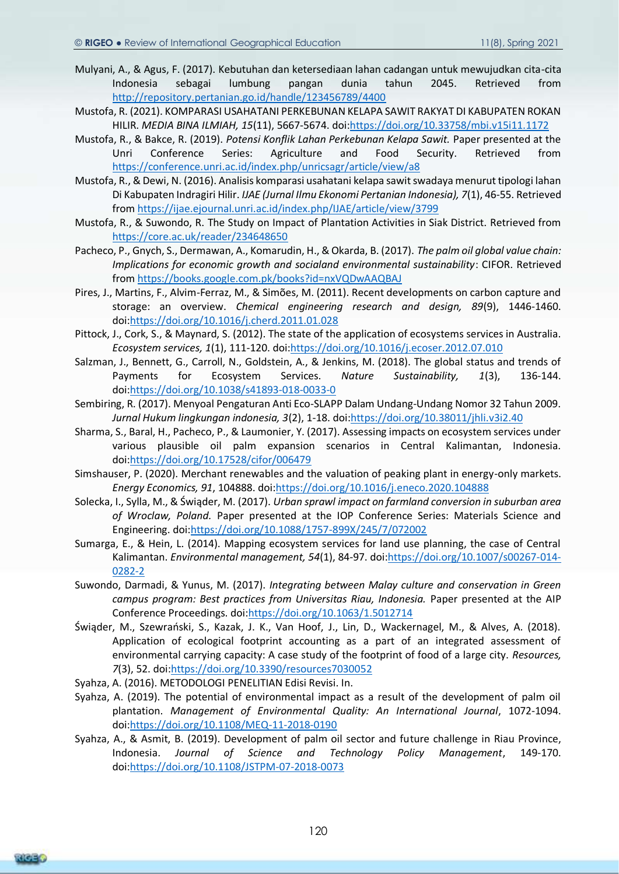- Mulyani, A., & Agus, F. (2017). Kebutuhan dan ketersediaan lahan cadangan untuk mewujudkan cita-cita Indonesia sebagai lumbung pangan dunia tahun 2045. Retrieved from <http://repository.pertanian.go.id/handle/123456789/4400>
- Mustofa, R. (2021). KOMPARASI USAHATANI PERKEBUNAN KELAPA SAWIT RAKYAT DI KABUPATEN ROKAN HILIR. *MEDIA BINA ILMIAH, 15*(11), 5667-5674. doi[:https://doi.org/10.33758/mbi.v15i11.1172](https://doi.org/10.33758/mbi.v15i11.1172)
- Mustofa, R., & Bakce, R. (2019). *Potensi Konflik Lahan Perkebunan Kelapa Sawit.* Paper presented at the Unri Conference Series: Agriculture and Food Security. Retrieved from <https://conference.unri.ac.id/index.php/unricsagr/article/view/a8>
- Mustofa, R., & Dewi, N. (2016). Analisis komparasi usahatani kelapa sawit swadaya menurut tipologi lahan Di Kabupaten Indragiri Hilir. *IJAE (Jurnal Ilmu Ekonomi Pertanian Indonesia), 7*(1), 46-55. Retrieved from<https://ijae.ejournal.unri.ac.id/index.php/IJAE/article/view/3799>
- Mustofa, R., & Suwondo, R. The Study on Impact of Plantation Activities in Siak District. Retrieved from <https://core.ac.uk/reader/234648650>
- Pacheco, P., Gnych, S., Dermawan, A., Komarudin, H., & Okarda, B. (2017). *The palm oil global value chain: Implications for economic growth and socialand environmental sustainability*: CIFOR. Retrieved from<https://books.google.com.pk/books?id=nxVQDwAAQBAJ>
- Pires, J., Martins, F., Alvim-Ferraz, M., & Simões, M. (2011). Recent developments on carbon capture and storage: an overview. *Chemical engineering research and design, 89*(9), 1446-1460. doi[:https://doi.org/10.1016/j.cherd.2011.01.028](https://doi.org/10.1016/j.cherd.2011.01.028)
- Pittock, J., Cork, S., & Maynard, S. (2012). The state of the application of ecosystems services in Australia. *Ecosystem services, 1*(1), 111-120. doi[:https://doi.org/10.1016/j.ecoser.2012.07.010](https://doi.org/10.1016/j.ecoser.2012.07.010)
- Salzman, J., Bennett, G., Carroll, N., Goldstein, A., & Jenkins, M. (2018). The global status and trends of Payments for Ecosystem Services. *Nature Sustainability, 1*(3), 136-144. doi[:https://doi.org/10.1038/s41893-018-0033-0](https://doi.org/10.1038/s41893-018-0033-0)
- Sembiring, R. (2017). Menyoal Pengaturan Anti Eco-SLAPP Dalam Undang-Undang Nomor 32 Tahun 2009. *Jurnal Hukum lingkungan indonesia, 3*(2), 1-18. doi[:https://doi.org/10.38011/jhli.v3i2.40](https://doi.org/10.38011/jhli.v3i2.40)
- Sharma, S., Baral, H., Pacheco, P., & Laumonier, Y. (2017). Assessing impacts on ecosystem services under various plausible oil palm expansion scenarios in Central Kalimantan, Indonesia. doi[:https://doi.org/10.17528/cifor/006479](https://doi.org/10.17528/cifor/006479)
- Simshauser, P. (2020). Merchant renewables and the valuation of peaking plant in energy-only markets. *Energy Economics, 91*, 104888. doi[:https://doi.org/10.1016/j.eneco.2020.104888](https://doi.org/10.1016/j.eneco.2020.104888)
- Solecka, I., Sylla, M., & Świąder, M. (2017). *Urban sprawl impact on farmland conversion in suburban area of Wroclaw, Poland.* Paper presented at the IOP Conference Series: Materials Science and Engineering. doi[:https://doi.org/10.1088/1757-899X/245/7/072002](https://doi.org/10.1088/1757-899X/245/7/072002)
- Sumarga, E., & Hein, L. (2014). Mapping ecosystem services for land use planning, the case of Central Kalimantan. *Environmental management, 54*(1), 84-97. doi[:https://doi.org/10.1007/s00267-014-](https://doi.org/10.1007/s00267-014-0282-2) [0282-2](https://doi.org/10.1007/s00267-014-0282-2)
- Suwondo, Darmadi, & Yunus, M. (2017). *Integrating between Malay culture and conservation in Green campus program: Best practices from Universitas Riau, Indonesia.* Paper presented at the AIP Conference Proceedings. doi[:https://doi.org/10.1063/1.5012714](https://doi.org/10.1063/1.5012714)
- Świąder, M., Szewrański, S., Kazak, J. K., Van Hoof, J., Lin, D., Wackernagel, M., & Alves, A. (2018). Application of ecological footprint accounting as a part of an integrated assessment of environmental carrying capacity: A case study of the footprint of food of a large city. *Resources, 7*(3), 52. doi[:https://doi.org/10.3390/resources7030052](https://doi.org/10.3390/resources7030052)
- Syahza, A. (2016). METODOLOGI PENELITIAN Edisi Revisi. In.
- Syahza, A. (2019). The potential of environmental impact as a result of the development of palm oil plantation. *Management of Environmental Quality: An International Journal*, 1072-1094. doi[:https://doi.org/10.1108/MEQ-11-2018-0190](https://doi.org/10.1108/MEQ-11-2018-0190)
- Syahza, A., & Asmit, B. (2019). Development of palm oil sector and future challenge in Riau Province, Indonesia. *Journal of Science and Technology Policy Management*, 149-170. doi[:https://doi.org/10.1108/JSTPM-07-2018-0073](https://doi.org/10.1108/JSTPM-07-2018-0073)

**RIGE<sup>T</sup>**